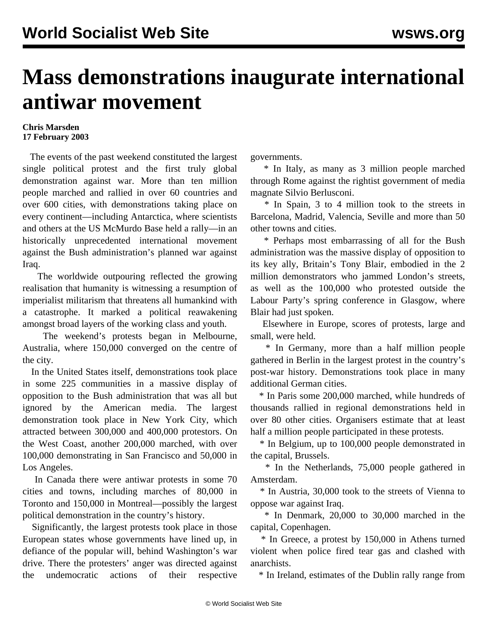## **Mass demonstrations inaugurate international antiwar movement**

## **Chris Marsden 17 February 2003**

 The events of the past weekend constituted the largest single political protest and the first truly global demonstration against war. More than ten million people marched and rallied in over 60 countries and over 600 cities, with demonstrations taking place on every continent—including Antarctica, where scientists and others at the US McMurdo Base held a rally—in an historically unprecedented international movement against the Bush administration's planned war against Iraq.

 The worldwide outpouring reflected the growing realisation that humanity is witnessing a resumption of imperialist militarism that threatens all humankind with a catastrophe. It marked a political reawakening amongst broad layers of the working class and youth.

 The weekend's protests began in Melbourne, Australia, where 150,000 converged on the centre of the city.

 In the United States itself, demonstrations took place in some 225 communities in a massive display of opposition to the Bush administration that was all but ignored by the American media. The largest demonstration took place in New York City, which attracted between 300,000 and 400,000 protestors. On the West Coast, another 200,000 marched, with over 100,000 demonstrating in San Francisco and 50,000 in Los Angeles.

 In Canada there were antiwar protests in some 70 cities and towns, including marches of 80,000 in Toronto and 150,000 in Montreal—possibly the largest political demonstration in the country's history.

 Significantly, the largest protests took place in those European states whose governments have lined up, in defiance of the popular will, behind Washington's war drive. There the protesters' anger was directed against the undemocratic actions of their respective

governments.

 \* In Italy, as many as 3 million people marched through Rome against the rightist government of media magnate Silvio Berlusconi.

 \* In Spain, 3 to 4 million took to the streets in Barcelona, Madrid, Valencia, Seville and more than 50 other towns and cities.

 \* Perhaps most embarrassing of all for the Bush administration was the massive display of opposition to its key ally, Britain's Tony Blair, embodied in the 2 million demonstrators who jammed London's streets, as well as the 100,000 who protested outside the Labour Party's spring conference in Glasgow, where Blair had just spoken.

 Elsewhere in Europe, scores of protests, large and small, were held.

 \* In Germany, more than a half million people gathered in Berlin in the largest protest in the country's post-war history. Demonstrations took place in many additional German cities.

 \* In Paris some 200,000 marched, while hundreds of thousands rallied in regional demonstrations held in over 80 other cities. Organisers estimate that at least half a million people participated in these protests.

 \* In Belgium, up to 100,000 people demonstrated in the capital, Brussels.

 \* In the Netherlands, 75,000 people gathered in Amsterdam.

 \* In Austria, 30,000 took to the streets of Vienna to oppose war against Iraq.

 \* In Denmark, 20,000 to 30,000 marched in the capital, Copenhagen.

 \* In Greece, a protest by 150,000 in Athens turned violent when police fired tear gas and clashed with anarchists.

\* In Ireland, estimates of the Dublin rally range from